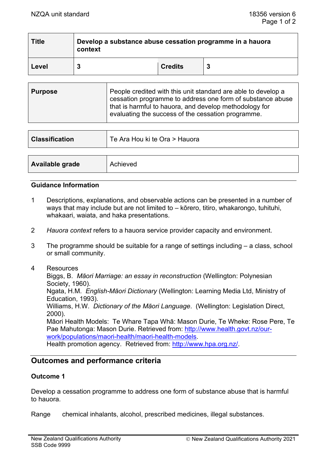| <b>Title</b> | Develop a substance abuse cessation programme in a hauora<br>context |                |  |  |  |
|--------------|----------------------------------------------------------------------|----------------|--|--|--|
| Level        |                                                                      | <b>Credits</b> |  |  |  |

| People credited with this unit standard are able to develop a<br><b>Purpose</b><br>cessation programme to address one form of substance abuse<br>that is harmful to hauora, and develop methodology for<br>evaluating the success of the cessation programme. |
|---------------------------------------------------------------------------------------------------------------------------------------------------------------------------------------------------------------------------------------------------------------|
|---------------------------------------------------------------------------------------------------------------------------------------------------------------------------------------------------------------------------------------------------------------|

| <b>Classification</b> | Te Ara Hou ki te Ora > Hauora |
|-----------------------|-------------------------------|
|                       |                               |
| Available grade       | Achieved                      |

#### **Guidance Information**

- 1 Descriptions, explanations, and observable actions can be presented in a number of ways that may include but are not limited to – kōrero, titiro, whakarongo, tuhituhi, whakaari, waiata, and haka presentations.
- 2 *Hauora context* refers to a hauora service provider capacity and environment.
- 3 The programme should be suitable for a range of settings including a class, school or small community.
- 4 Resources

Biggs, B. *Māori Marriage: an essay in reconstruction* (Wellington: Polynesian Society, 1960). Ngata, H.M. *English-Māori Dictionary* (Wellington: Learning Media Ltd, Ministry of Education, 1993). Williams, H.W. *Dictionary of the Māori Language*. (Wellington: Legislation Direct, 2000). Māori Health Models: Te Whare Tapa Whā: Mason Durie, Te Wheke: Rose Pere, Te Pae Mahutonga: Mason Durie. Retrieved from: [http://www.health.govt.nz/our](http://www.health.govt.nz/our-work/populations/maori-health/maori-health-models)[work/populations/maori-health/maori-health-models.](http://www.health.govt.nz/our-work/populations/maori-health/maori-health-models) Health promotion agency. Retrieved from: [http://www.hpa.org.nz/.](http://www.hpa.org.nz/)

# **Outcomes and performance criteria**

#### **Outcome 1**

Develop a cessation programme to address one form of substance abuse that is harmful to hauora.

Range chemical inhalants, alcohol, prescribed medicines, illegal substances.